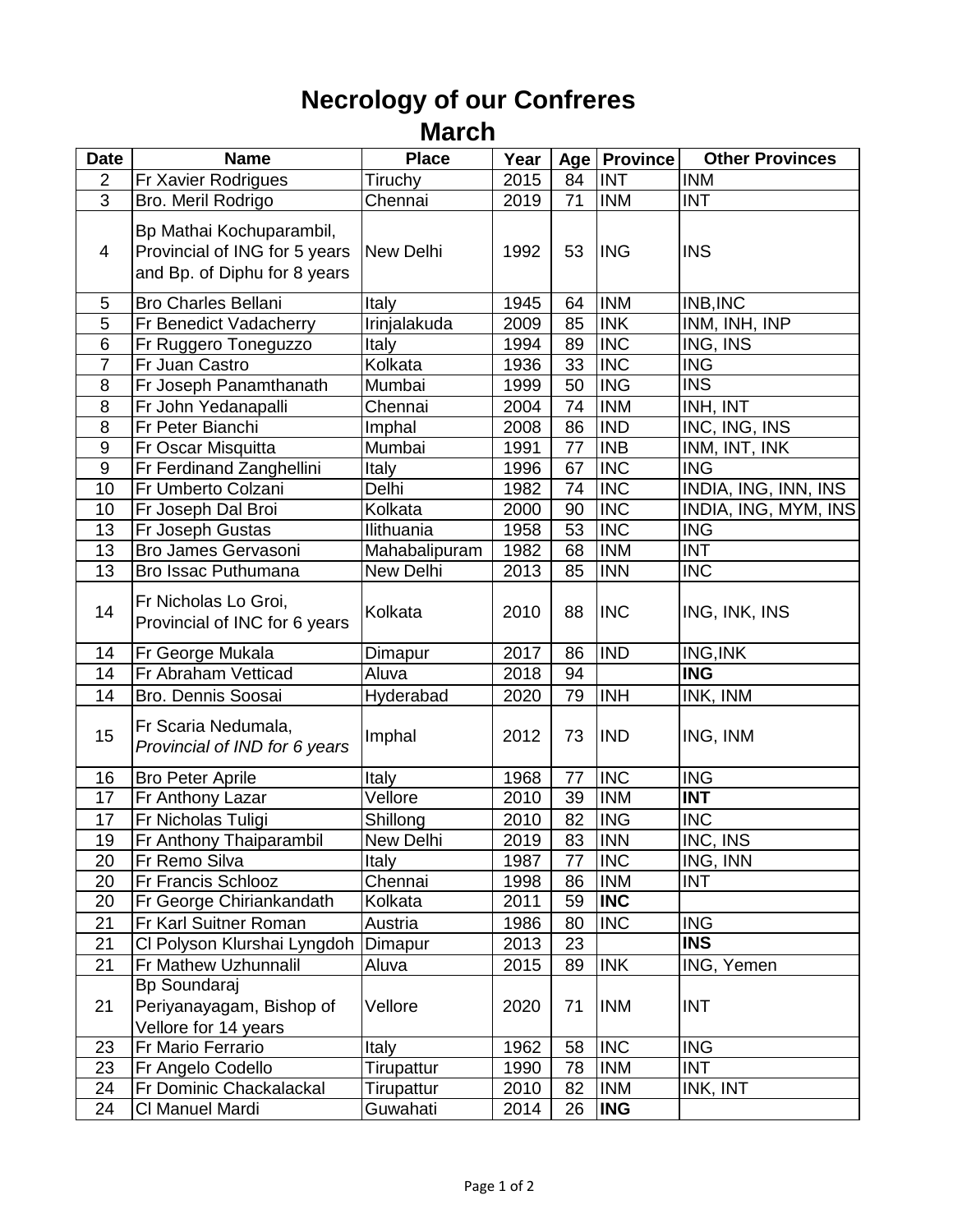## **Necrology of our Confreres March**

| <b>Date</b>    | <b>Name</b>                                                                               | <b>Place</b>  | Year |                 | Age   Province | <b>Other Provinces</b> |
|----------------|-------------------------------------------------------------------------------------------|---------------|------|-----------------|----------------|------------------------|
| $\overline{2}$ | Fr Xavier Rodrigues                                                                       | Tiruchy       | 2015 | 84              | <b>INT</b>     | <b>INM</b>             |
| 3              | Bro. Meril Rodrigo                                                                        | Chennai       | 2019 | 71              | <b>INM</b>     | <b>INT</b>             |
| 4              | Bp Mathai Kochuparambil,<br>Provincial of ING for 5 years<br>and Bp. of Diphu for 8 years | New Delhi     | 1992 | 53              | <b>ING</b>     | <b>INS</b>             |
| 5              | <b>Bro Charles Bellani</b>                                                                | Italy         | 1945 | 64              | <b>INM</b>     | INB, INC               |
| $\overline{5}$ | Fr Benedict Vadacherry                                                                    | Irinjalakuda  | 2009 | 85              | <b>INK</b>     | INM, INH, INP          |
| 6              | Fr Ruggero Toneguzzo                                                                      | Italy         | 1994 | 89              | <b>INC</b>     | ING, INS               |
| $\overline{7}$ | Fr Juan Castro                                                                            | Kolkata       | 1936 | $\overline{33}$ | <b>INC</b>     | <b>ING</b>             |
| 8              | Fr Joseph Panamthanath                                                                    | Mumbai        | 1999 | 50              | <b>ING</b>     | <b>INS</b>             |
| 8              | Fr John Yedanapalli                                                                       | Chennai       | 2004 | 74              | <b>INM</b>     | INH, INT               |
| 8              | Fr Peter Bianchi                                                                          | Imphal        | 2008 | 86              | <b>IND</b>     | INC, ING, INS          |
| $9$            | Fr Oscar Misquitta                                                                        | Mumbai        | 1991 | 77              | <b>INB</b>     | INM, INT, INK          |
| $9\,$          | Fr Ferdinand Zanghellini                                                                  | Italy         | 1996 | 67              | <b>INC</b>     | <b>ING</b>             |
| 10             | Fr Umberto Colzani                                                                        | Delhi         | 1982 | 74              | <b>INC</b>     | INDIA, ING, INN, INS   |
| 10             | Fr Joseph Dal Broi                                                                        | Kolkata       | 2000 | 90              | <b>INC</b>     | INDIA, ING, MYM, INS   |
| 13             | Fr Joseph Gustas                                                                          | Ilithuania    | 1958 | 53              | <b>INC</b>     | <b>ING</b>             |
| 13             | Bro James Gervasoni                                                                       | Mahabalipuram | 1982 | 68              | <b>INM</b>     | <b>INT</b>             |
| 13             | Bro Issac Puthumana                                                                       | New Delhi     | 2013 | 85              | <b>INN</b>     | <b>INC</b>             |
| 14             | Fr Nicholas Lo Groi,<br>Provincial of INC for 6 years                                     | Kolkata       | 2010 | 88              | <b>INC</b>     | ING, INK, INS          |
| 14             | Fr George Mukala                                                                          | Dimapur       | 2017 | 86              | <b>IND</b>     | ING, INK               |
| 14             | Fr Abraham Vetticad                                                                       | Aluva         | 2018 | 94              |                | <b>ING</b>             |
| 14             | Bro. Dennis Soosai                                                                        | Hyderabad     | 2020 | 79              | <b>INH</b>     | INK, INM               |
| 15             | Fr Scaria Nedumala,<br>Provincial of IND for 6 years                                      | Imphal        | 2012 | 73              | <b>IND</b>     | ING, INM               |
| 16             | <b>Bro Peter Aprile</b>                                                                   | <b>Italy</b>  | 1968 | 77              | <b>INC</b>     | <b>ING</b>             |
| 17             | <b>Fr Anthony Lazar</b>                                                                   | Vellore       | 2010 | 39              | <b>INM</b>     | <b>INT</b>             |
| 17             | Fr Nicholas Tuligi                                                                        | Shillong      | 2010 | 82              | <b>ING</b>     | <b>INC</b>             |
| 19             | Fr Anthony Thaiparambil                                                                   | New Delhi     | 2019 | 83              | <b>INN</b>     | INC, INS               |
| 20             | Fr Remo Silva                                                                             | Italy         | 1987 | 77              | <b>INC</b>     | ING, INN               |
| 20             | Fr Francis Schlooz                                                                        | Chennai       | 1998 | 86              | <b>INM</b>     | <b>INT</b>             |
| 20             | Fr George Chiriankandath                                                                  | Kolkata       | 2011 | 59              | <b>INC</b>     |                        |
| 21             | Fr Karl Suitner Roman                                                                     | Austria       | 1986 | 80              | <b>INC</b>     | <b>ING</b>             |
| 21             | CI Polyson Klurshai Lyngdoh                                                               | Dimapur       | 2013 | 23              |                | <b>INS</b>             |
| 21             | Fr Mathew Uzhunnalil                                                                      | Aluva         | 2015 | 89              | <b>INK</b>     | ING, Yemen             |
| 21             | Bp Soundaraj<br>Periyanayagam, Bishop of<br>Vellore for 14 years                          | Vellore       | 2020 | 71              | <b>INM</b>     | <b>INT</b>             |
| 23             | Fr Mario Ferrario                                                                         | Italy         | 1962 | 58              | <b>INC</b>     | <b>ING</b>             |
| 23             | Fr Angelo Codello                                                                         | Tirupattur    | 1990 | 78              | <b>INM</b>     | <b>INT</b>             |
| 24             | Fr Dominic Chackalackal                                                                   | Tirupattur    | 2010 | 82              | <b>INM</b>     | INK, INT               |
| 24             | CI Manuel Mardi                                                                           | Guwahati      | 2014 | 26              | <b>ING</b>     |                        |